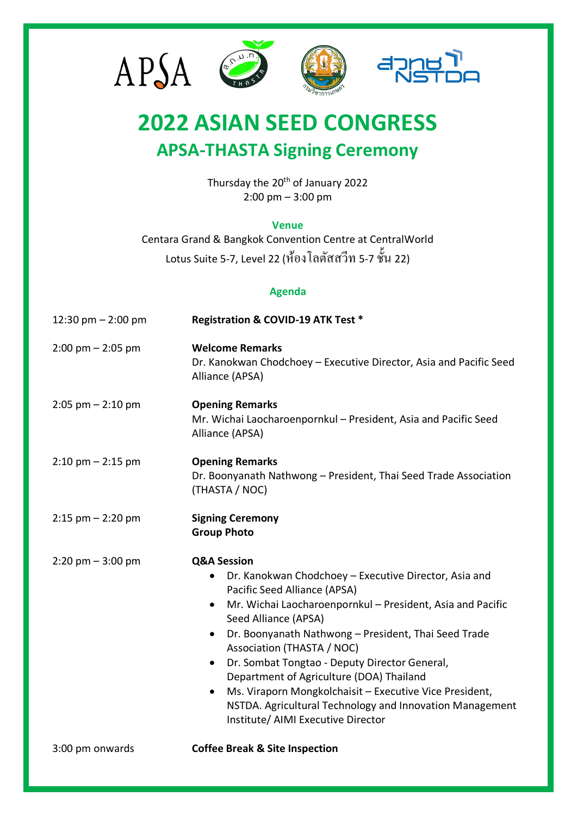

## **2022 ASIAN SEED CONGRESS APSA-THASTA Signing Ceremony**

Thursday the 20<sup>th</sup> of January 2022 2:00 pm – 3:00 pm

## **Venue**

Centara Grand & Bangkok Convention Centre at CentralWorld Lotus Suite 5-7, Level 22 (ห้องโลตัสสวีท 5-7 ช้นั 22)

## **Agenda**

| 12:30 pm $-$ 2:00 pm                | Registration & COVID-19 ATK Test *                                                                                                                                                                                                                                                                                                                                                                                                                                                                                                                                                                        |
|-------------------------------------|-----------------------------------------------------------------------------------------------------------------------------------------------------------------------------------------------------------------------------------------------------------------------------------------------------------------------------------------------------------------------------------------------------------------------------------------------------------------------------------------------------------------------------------------------------------------------------------------------------------|
| $2:00 \text{ pm} - 2:05 \text{ pm}$ | <b>Welcome Remarks</b><br>Dr. Kanokwan Chodchoey - Executive Director, Asia and Pacific Seed<br>Alliance (APSA)                                                                                                                                                                                                                                                                                                                                                                                                                                                                                           |
| $2:05$ pm $-2:10$ pm                | <b>Opening Remarks</b><br>Mr. Wichai Laocharoenpornkul - President, Asia and Pacific Seed<br>Alliance (APSA)                                                                                                                                                                                                                                                                                                                                                                                                                                                                                              |
| $2:10$ pm $-2:15$ pm                | <b>Opening Remarks</b><br>Dr. Boonyanath Nathwong - President, Thai Seed Trade Association<br>(THASTA / NOC)                                                                                                                                                                                                                                                                                                                                                                                                                                                                                              |
| $2:15$ pm $-2:20$ pm                | <b>Signing Ceremony</b><br><b>Group Photo</b>                                                                                                                                                                                                                                                                                                                                                                                                                                                                                                                                                             |
| $2:20$ pm $-3:00$ pm                | <b>Q&amp;A Session</b><br>Dr. Kanokwan Chodchoey - Executive Director, Asia and<br>Pacific Seed Alliance (APSA)<br>Mr. Wichai Laocharoenpornkul - President, Asia and Pacific<br>$\bullet$<br>Seed Alliance (APSA)<br>Dr. Boonyanath Nathwong - President, Thai Seed Trade<br>$\bullet$<br>Association (THASTA / NOC)<br>Dr. Sombat Tongtao - Deputy Director General,<br>$\bullet$<br>Department of Agriculture (DOA) Thailand<br>Ms. Viraporn Mongkolchaisit - Executive Vice President,<br>$\bullet$<br>NSTDA. Agricultural Technology and Innovation Management<br>Institute/ AIMI Executive Director |